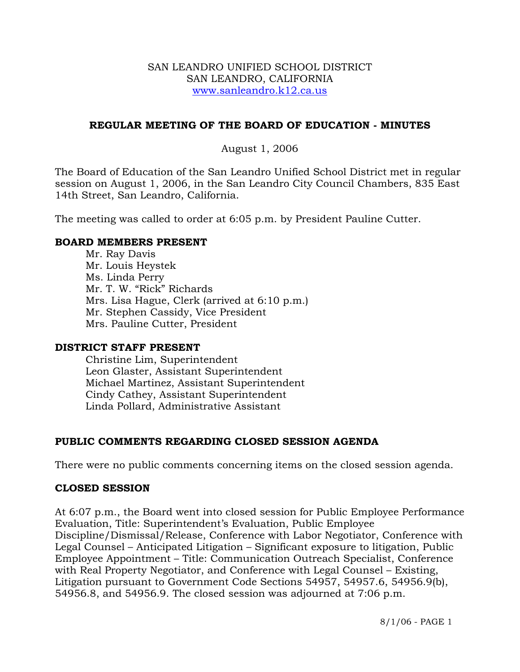### SAN LEANDRO UNIFIED SCHOOL DISTRICT SAN LEANDRO, CALIFORNIA www.sanleandro.k12.ca.us

## **REGULAR MEETING OF THE BOARD OF EDUCATION - MINUTES**

## August 1, 2006

The Board of Education of the San Leandro Unified School District met in regular session on August 1, 2006, in the San Leandro City Council Chambers, 835 East 14th Street, San Leandro, California.

The meeting was called to order at 6:05 p.m. by President Pauline Cutter.

## **BOARD MEMBERS PRESENT**

Mr. Ray Davis Mr. Louis Heystek Ms. Linda Perry Mr. T. W. "Rick" Richards Mrs. Lisa Hague, Clerk (arrived at 6:10 p.m.) Mr. Stephen Cassidy, Vice President Mrs. Pauline Cutter, President

## **DISTRICT STAFF PRESENT**

Christine Lim, Superintendent Leon Glaster, Assistant Superintendent Michael Martinez, Assistant Superintendent Cindy Cathey, Assistant Superintendent Linda Pollard, Administrative Assistant

# **PUBLIC COMMENTS REGARDING CLOSED SESSION AGENDA**

There were no public comments concerning items on the closed session agenda.

## **CLOSED SESSION**

At 6:07 p.m., the Board went into closed session for Public Employee Performance Evaluation, Title: Superintendent's Evaluation, Public Employee Discipline/Dismissal/Release, Conference with Labor Negotiator, Conference with Legal Counsel – Anticipated Litigation – Significant exposure to litigation, Public Employee Appointment – Title: Communication Outreach Specialist, Conference with Real Property Negotiator, and Conference with Legal Counsel – Existing, Litigation pursuant to Government Code Sections 54957, 54957.6, 54956.9(b), 54956.8, and 54956.9. The closed session was adjourned at 7:06 p.m.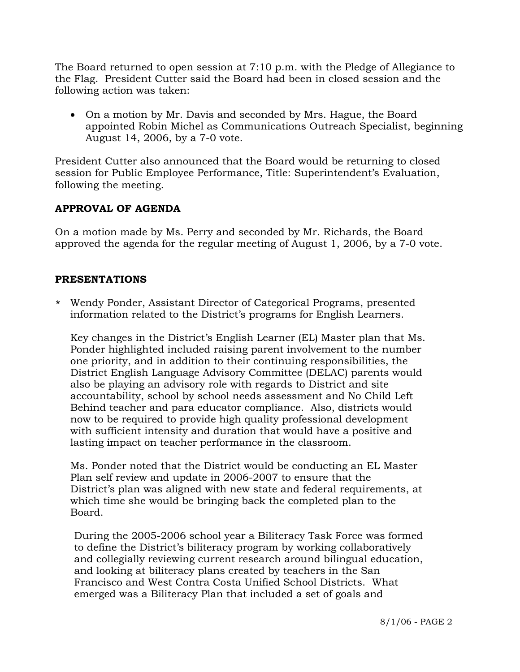The Board returned to open session at 7:10 p.m. with the Pledge of Allegiance to the Flag. President Cutter said the Board had been in closed session and the following action was taken:

• On a motion by Mr. Davis and seconded by Mrs. Hague, the Board appointed Robin Michel as Communications Outreach Specialist, beginning August 14, 2006, by a 7-0 vote.

President Cutter also announced that the Board would be returning to closed session for Public Employee Performance, Title: Superintendent's Evaluation, following the meeting.

# **APPROVAL OF AGENDA**

On a motion made by Ms. Perry and seconded by Mr. Richards, the Board approved the agenda for the regular meeting of August 1, 2006, by a 7-0 vote.

## **PRESENTATIONS**

\* Wendy Ponder, Assistant Director of Categorical Programs, presented information related to the District's programs for English Learners.

 Key changes in the District's English Learner (EL) Master plan that Ms. Ponder highlighted included raising parent involvement to the number one priority, and in addition to their continuing responsibilities, the District English Language Advisory Committee (DELAC) parents would also be playing an advisory role with regards to District and site accountability, school by school needs assessment and No Child Left Behind teacher and para educator compliance. Also, districts would now to be required to provide high quality professional development with sufficient intensity and duration that would have a positive and lasting impact on teacher performance in the classroom.

 Ms. Ponder noted that the District would be conducting an EL Master Plan self review and update in 2006-2007 to ensure that the District's plan was aligned with new state and federal requirements, at which time she would be bringing back the completed plan to the Board.

During the 2005-2006 school year a Biliteracy Task Force was formed to define the District's biliteracy program by working collaboratively and collegially reviewing current research around bilingual education, and looking at biliteracy plans created by teachers in the San Francisco and West Contra Costa Unified School Districts. What emerged was a Biliteracy Plan that included a set of goals and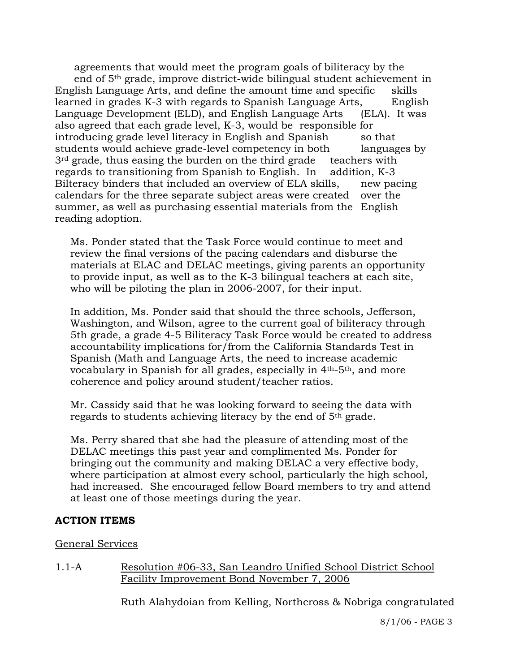agreements that would meet the program goals of biliteracy by the end of 5th grade, improve district-wide bilingual student achievement in English Language Arts, and define the amount time and specific skills learned in grades K-3 with regards to Spanish Language Arts, English Language Development (ELD), and English Language Arts (ELA). It was also agreed that each grade level, K-3, would be responsible for introducing grade level literacy in English and Spanish so that students would achieve grade-level competency in both languages by  $3<sup>rd</sup>$  grade, thus easing the burden on the third grade teachers with regards to transitioning from Spanish to English. In addition, K-3 Bilteracy binders that included an overview of ELA skills, new pacing calendars for the three separate subject areas were created over the summer, as well as purchasing essential materials from the English reading adoption.

 Ms. Ponder stated that the Task Force would continue to meet and review the final versions of the pacing calendars and disburse the materials at ELAC and DELAC meetings, giving parents an opportunity to provide input, as well as to the K-3 bilingual teachers at each site, who will be piloting the plan in 2006-2007, for their input.

In addition, Ms. Ponder said that should the three schools, Jefferson, Washington, and Wilson, agree to the current goal of biliteracy through 5th grade, a grade 4-5 Biliteracy Task Force would be created to address accountability implications for/from the California Standards Test in Spanish (Math and Language Arts, the need to increase academic vocabulary in Spanish for all grades, especially in 4th-5th, and more coherence and policy around student/teacher ratios.

Mr. Cassidy said that he was looking forward to seeing the data with regards to students achieving literacy by the end of 5th grade.

Ms. Perry shared that she had the pleasure of attending most of the DELAC meetings this past year and complimented Ms. Ponder for bringing out the community and making DELAC a very effective body, where participation at almost every school, particularly the high school, had increased. She encouraged fellow Board members to try and attend at least one of those meetings during the year.

## **ACTION ITEMS**

### General Services

1.1-A Resolution #06-33, San Leandro Unified School District School Facility Improvement Bond November 7, 2006

Ruth Alahydoian from Kelling, Northcross & Nobriga congratulated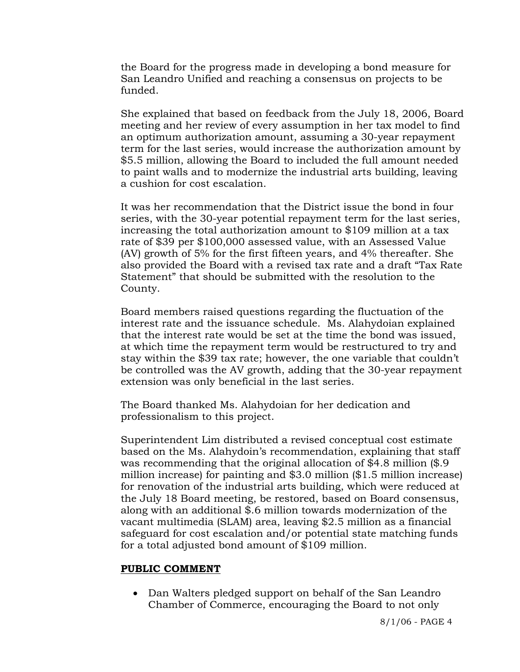the Board for the progress made in developing a bond measure for San Leandro Unified and reaching a consensus on projects to be funded.

She explained that based on feedback from the July 18, 2006, Board meeting and her review of every assumption in her tax model to find an optimum authorization amount, assuming a 30-year repayment term for the last series, would increase the authorization amount by \$5.5 million, allowing the Board to included the full amount needed to paint walls and to modernize the industrial arts building, leaving a cushion for cost escalation.

It was her recommendation that the District issue the bond in four series, with the 30-year potential repayment term for the last series, increasing the total authorization amount to \$109 million at a tax rate of \$39 per \$100,000 assessed value, with an Assessed Value (AV) growth of 5% for the first fifteen years, and 4% thereafter. She also provided the Board with a revised tax rate and a draft "Tax Rate Statement" that should be submitted with the resolution to the County.

Board members raised questions regarding the fluctuation of the interest rate and the issuance schedule. Ms. Alahydoian explained that the interest rate would be set at the time the bond was issued, at which time the repayment term would be restructured to try and stay within the \$39 tax rate; however, the one variable that couldn't be controlled was the AV growth, adding that the 30-year repayment extension was only beneficial in the last series.

The Board thanked Ms. Alahydoian for her dedication and professionalism to this project.

Superintendent Lim distributed a revised conceptual cost estimate based on the Ms. Alahydoin's recommendation, explaining that staff was recommending that the original allocation of \$4.8 million (\$.9 million increase) for painting and \$3.0 million (\$1.5 million increase) for renovation of the industrial arts building, which were reduced at the July 18 Board meeting, be restored, based on Board consensus, along with an additional \$.6 million towards modernization of the vacant multimedia (SLAM) area, leaving \$2.5 million as a financial safeguard for cost escalation and/or potential state matching funds for a total adjusted bond amount of \$109 million.

### **PUBLIC COMMENT**

• Dan Walters pledged support on behalf of the San Leandro Chamber of Commerce, encouraging the Board to not only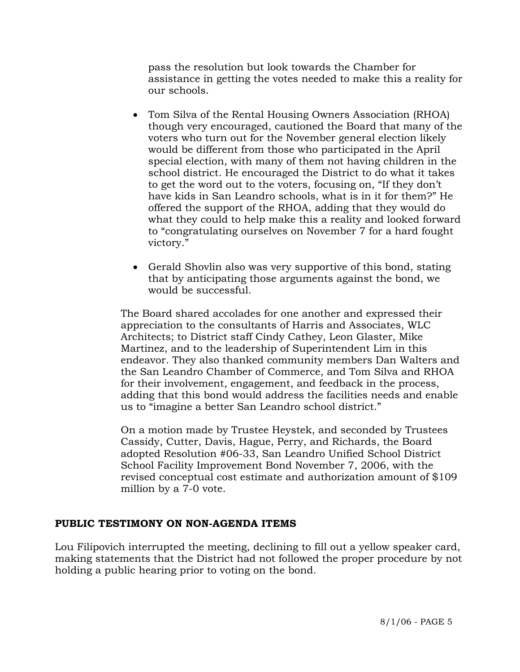pass the resolution but look towards the Chamber for assistance in getting the votes needed to make this a reality for our schools.

- Tom Silva of the Rental Housing Owners Association (RHOA) though very encouraged, cautioned the Board that many of the voters who turn out for the November general election likely would be different from those who participated in the April special election, with many of them not having children in the school district. He encouraged the District to do what it takes to get the word out to the voters, focusing on, "If they don't have kids in San Leandro schools, what is in it for them?" He offered the support of the RHOA, adding that they would do what they could to help make this a reality and looked forward to "congratulating ourselves on November 7 for a hard fought victory."
- Gerald Shovlin also was very supportive of this bond, stating that by anticipating those arguments against the bond, we would be successful.

The Board shared accolades for one another and expressed their appreciation to the consultants of Harris and Associates, WLC Architects; to District staff Cindy Cathey, Leon Glaster, Mike Martinez, and to the leadership of Superintendent Lim in this endeavor. They also thanked community members Dan Walters and the San Leandro Chamber of Commerce, and Tom Silva and RHOA for their involvement, engagement, and feedback in the process, adding that this bond would address the facilities needs and enable us to "imagine a better San Leandro school district."

On a motion made by Trustee Heystek, and seconded by Trustees Cassidy, Cutter, Davis, Hague, Perry, and Richards, the Board adopted Resolution #06-33, San Leandro Unified School District School Facility Improvement Bond November 7, 2006, with the revised conceptual cost estimate and authorization amount of \$109 million by a 7-0 vote.

## **PUBLIC TESTIMONY ON NON-AGENDA ITEMS**

Lou Filipovich interrupted the meeting, declining to fill out a yellow speaker card, making statements that the District had not followed the proper procedure by not holding a public hearing prior to voting on the bond.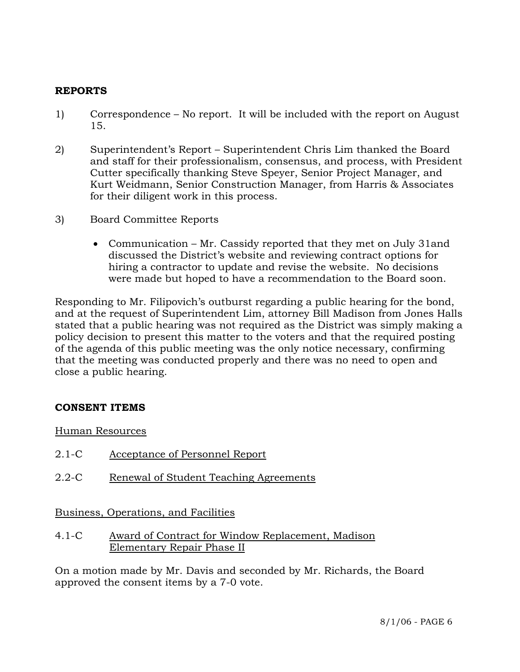## **REPORTS**

- 1) Correspondence No report. It will be included with the report on August 15.
- 2) Superintendent's Report Superintendent Chris Lim thanked the Board and staff for their professionalism, consensus, and process, with President Cutter specifically thanking Steve Speyer, Senior Project Manager, and Kurt Weidmann, Senior Construction Manager, from Harris & Associates for their diligent work in this process.
- 3) Board Committee Reports
	- Communication Mr. Cassidy reported that they met on July 31and discussed the District's website and reviewing contract options for hiring a contractor to update and revise the website. No decisions were made but hoped to have a recommendation to the Board soon.

Responding to Mr. Filipovich's outburst regarding a public hearing for the bond, and at the request of Superintendent Lim, attorney Bill Madison from Jones Halls stated that a public hearing was not required as the District was simply making a policy decision to present this matter to the voters and that the required posting of the agenda of this public meeting was the only notice necessary, confirming that the meeting was conducted properly and there was no need to open and close a public hearing.

## **CONSENT ITEMS**

Human Resources

- 2.1-C Acceptance of Personnel Report
- 2.2-C Renewal of Student Teaching Agreements

Business, Operations, and Facilities

4.1-C Award of Contract for Window Replacement, Madison Elementary Repair Phase II

On a motion made by Mr. Davis and seconded by Mr. Richards, the Board approved the consent items by a 7-0 vote.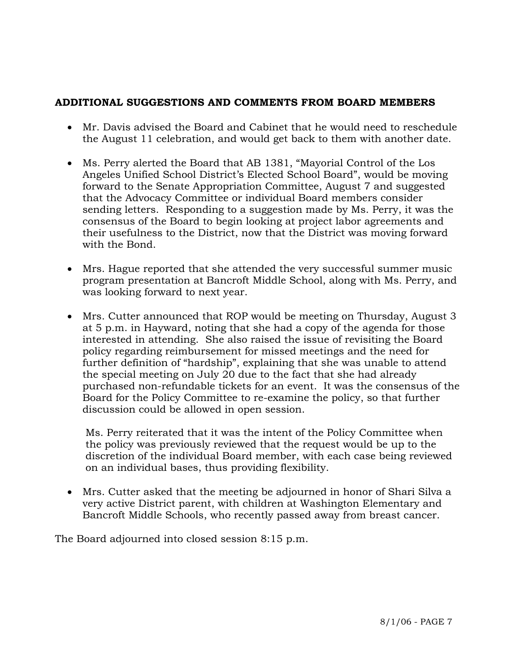# **ADDITIONAL SUGGESTIONS AND COMMENTS FROM BOARD MEMBERS**

- Mr. Davis advised the Board and Cabinet that he would need to reschedule the August 11 celebration, and would get back to them with another date.
- Ms. Perry alerted the Board that AB 1381, "Mayorial Control of the Los Angeles Unified School District's Elected School Board", would be moving forward to the Senate Appropriation Committee, August 7 and suggested that the Advocacy Committee or individual Board members consider sending letters. Responding to a suggestion made by Ms. Perry, it was the consensus of the Board to begin looking at project labor agreements and their usefulness to the District, now that the District was moving forward with the Bond.
- Mrs. Hague reported that she attended the very successful summer music program presentation at Bancroft Middle School, along with Ms. Perry, and was looking forward to next year.
- Mrs. Cutter announced that ROP would be meeting on Thursday, August 3 at 5 p.m. in Hayward, noting that she had a copy of the agenda for those interested in attending. She also raised the issue of revisiting the Board policy regarding reimbursement for missed meetings and the need for further definition of "hardship", explaining that she was unable to attend the special meeting on July 20 due to the fact that she had already purchased non-refundable tickets for an event. It was the consensus of the Board for the Policy Committee to re-examine the policy, so that further discussion could be allowed in open session.

 Ms. Perry reiterated that it was the intent of the Policy Committee when the policy was previously reviewed that the request would be up to the discretion of the individual Board member, with each case being reviewed on an individual bases, thus providing flexibility.

• Mrs. Cutter asked that the meeting be adjourned in honor of Shari Silva a very active District parent, with children at Washington Elementary and Bancroft Middle Schools, who recently passed away from breast cancer.

The Board adjourned into closed session 8:15 p.m.